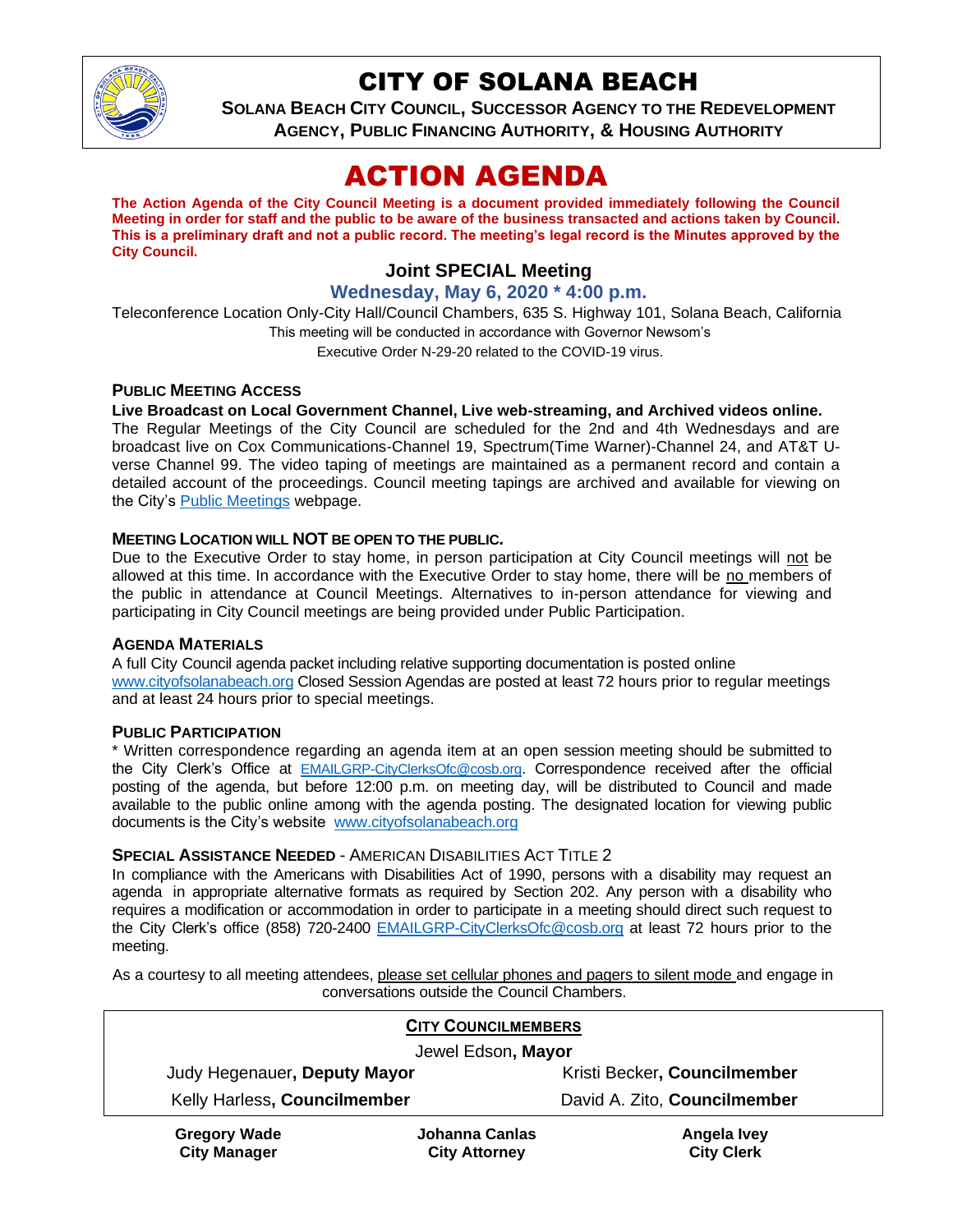

## CITY OF SOLANA BEACH

**SOLANA BEACH CITY COUNCIL, SUCCESSOR AGENCY TO THE REDEVELOPMENT AGENCY, PUBLIC FINANCING AUTHORITY, & HOUSING AUTHORITY**

# ACTION AGENDA

**The Action Agenda of the City Council Meeting is a document provided immediately following the Council Meeting in order for staff and the public to be aware of the business transacted and actions taken by Council. This is a preliminary draft and not a public record. The meeting's legal record is the Minutes approved by the City Council.**

## **Joint SPECIAL Meeting**

#### **Wednesday, May 6, 2020 \* 4:00 p.m.**

Teleconference Location Only-City Hall/Council Chambers, 635 S. Highway 101, Solana Beach, California This meeting will be conducted in accordance with Governor Newsom's Executive Order N-29-20 related to the COVID-19 virus.

#### **PUBLIC MEETING ACCESS**

#### **Live Broadcast on Local Government Channel, Live web-streaming, and Archived videos online.**

The Regular Meetings of the City Council are scheduled for the 2nd and 4th Wednesdays and are broadcast live on Cox Communications-Channel 19, Spectrum(Time Warner)-Channel 24, and AT&T Uverse Channel 99. The video taping of meetings are maintained as a permanent record and contain a detailed account of the proceedings. Council meeting tapings are archived and available for viewing on the City's [Public Meetings](https://urldefense.proofpoint.com/v2/url?u=https-3A__www.ci.solana-2Dbeach.ca.us_index.asp-3FSEC-3DF0F1200D-2D21C6-2D4A88-2D8AE1-2D0BC07C1A81A7-26Type-3DB-5FBASIC&d=DwMFAg&c=euGZstcaTDllvimEN8b7jXrwqOf-v5A_CdpgnVfiiMM&r=1XAsCUuqwK_tji2t0s1uIQ&m=wny2RVfZJ2tN24LkqZmkUWNpwL_peNtTZUBlTBZiMM4&s=WwpcEQpHHkFen6nS6q2waMuQ_VMZ-i1YZ60lD-dYRRE&e=) webpage.

#### **MEETING LOCATION WILL NOT BE OPEN TO THE PUBLIC.**

Due to the Executive Order to stay home, in person participation at City Council meetings will not be allowed at this time. In accordance with the Executive Order to stay home, there will be no members of the public in attendance at Council Meetings. Alternatives to in-person attendance for viewing and participating in City Council meetings are being provided under Public Participation.

#### **AGENDA MATERIALS**

A full City Council agenda packet including relative supporting documentation is posted online [www.cityofsolanabeach.org](https://urldefense.proofpoint.com/v2/url?u=http-3A__www.cityofsolanabeach.org&d=DwQFAg&c=euGZstcaTDllvimEN8b7jXrwqOf-v5A_CdpgnVfiiMM&r=1XAsCUuqwK_tji2t0s1uIQ&m=wny2RVfZJ2tN24LkqZmkUWNpwL_peNtTZUBlTBZiMM4&s=6ATguqxJUOD7VVtloplAbyuyNaVcEh6Fl4q1iw55lCY&e=) Closed Session Agendas are posted at least 72 hours prior to regular meetings and at least 24 hours prior to special meetings.

#### **PUBLIC PARTICIPATION**

**City Manager**

\* Written correspondence regarding an agenda item at an open session meeting should be submitted to the City Clerk's Office at [EMAILGRP-CityClerksOfc@cosb.org](mailto:EMAILGRP-CityClerksOfc@cosb.org). Correspondence received after the official posting of the agenda, but before 12:00 p.m. on meeting day, will be distributed to Council and made available to the public online among with the agenda posting. The designated location for viewing public documents is the City's website [www.cityofsolanabeach.org](http://www.cityofsolanabeach.org/)

#### **SPECIAL ASSISTANCE NEEDED - AMERICAN DISABILITIES ACT TITLE 2**

In compliance with the Americans with Disabilities Act of 1990, persons with a disability may request an agenda in appropriate alternative formats as required by Section 202. Any person with a disability who requires a modification or accommodation in order to participate in a meeting should direct such request to the City Clerk's office (858) 720-2400 [EMAILGRP-CityClerksOfc@cosb.org](mailto:EMAILGRP-CityClerksOfc@cosb.org) at least 72 hours prior to the meeting.

As a courtesy to all meeting attendees, please set cellular phones and pagers to silent mode and engage in conversations outside the Council Chambers.

| <b>CITY COUNCILMEMBERS</b>   |                |                              |
|------------------------------|----------------|------------------------------|
| Jewel Edson, Mayor           |                |                              |
| Judy Hegenauer, Deputy Mayor |                | Kristi Becker, Councilmember |
| Kelly Harless, Councilmember |                | David A. Zito, Councilmember |
| <b>Gregory Wade</b>          | Johanna Canlas | Angela Ivey                  |

**City Attorney**

**City Clerk**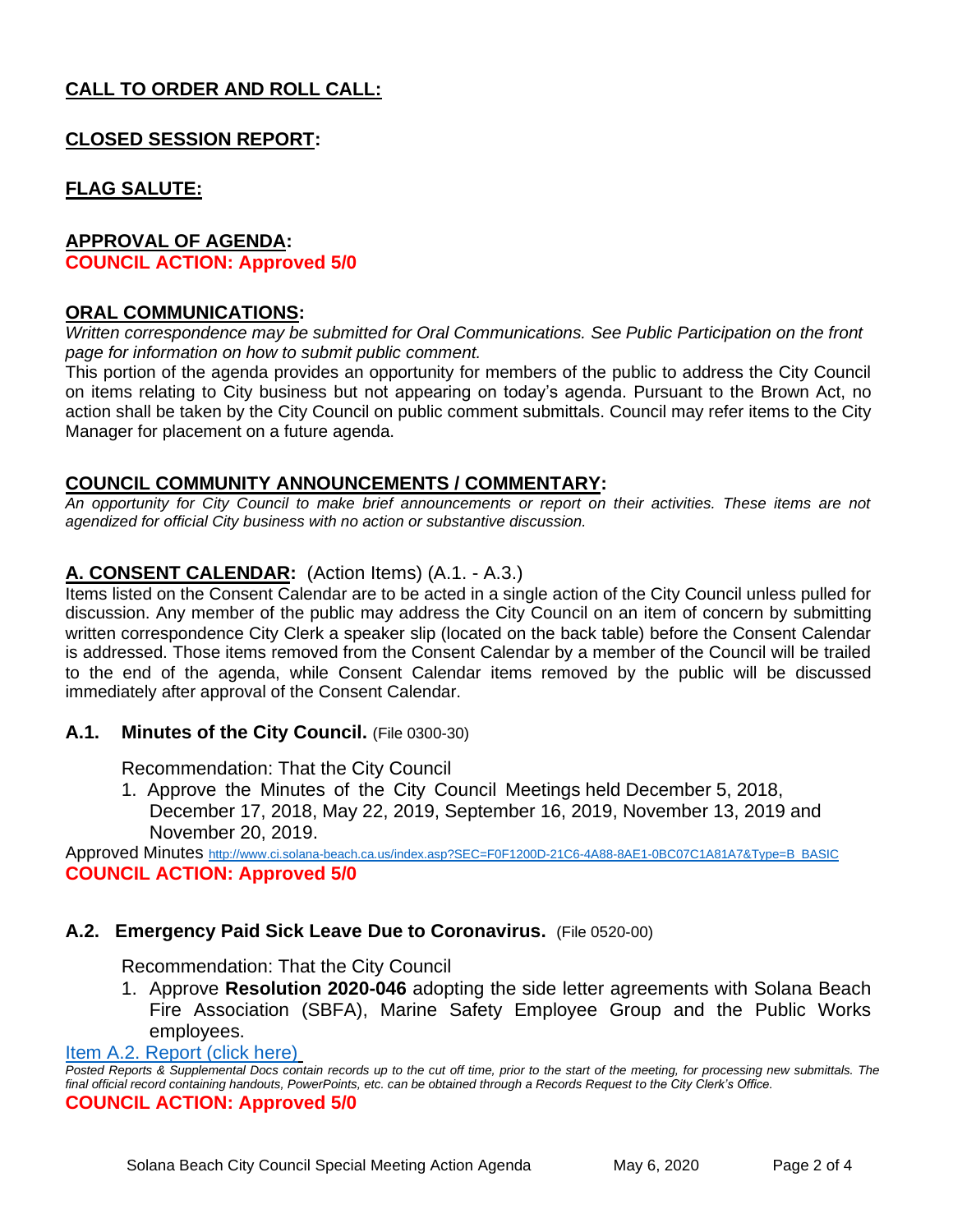## **CALL TO ORDER AND ROLL CALL:**

## **CLOSED SESSION REPORT:**

## **FLAG SALUTE:**

#### **APPROVAL OF AGENDA:**

**COUNCIL ACTION: Approved 5/0**

#### **ORAL COMMUNICATIONS:**

*Written correspondence may be submitted for Oral Communications. See Public Participation on the front page for information on how to submit public comment.* 

This portion of the agenda provides an opportunity for members of the public to address the City Council on items relating to City business but not appearing on today's agenda. Pursuant to the Brown Act, no action shall be taken by the City Council on public comment submittals. Council may refer items to the City Manager for placement on a future agenda.

#### **COUNCIL COMMUNITY ANNOUNCEMENTS / COMMENTARY:**

*An opportunity for City Council to make brief announcements or report on their activities. These items are not agendized for official City business with no action or substantive discussion.* 

#### **A. CONSENT CALENDAR:** (Action Items) (A.1. - A.3.)

Items listed on the Consent Calendar are to be acted in a single action of the City Council unless pulled for discussion. Any member of the public may address the City Council on an item of concern by submitting written correspondence City Clerk a speaker slip (located on the back table) before the Consent Calendar is addressed. Those items removed from the Consent Calendar by a member of the Council will be trailed to the end of the agenda, while Consent Calendar items removed by the public will be discussed immediately after approval of the Consent Calendar.

#### **A.1. Minutes of the City Council.** (File 0300-30)

Recommendation: That the City Council

1. Approve the Minutes of the City Council Meetings held December 5, 2018, December 17, 2018, May 22, 2019, September 16, 2019, November 13, 2019 and November 20, 2019.

Approved Minutes [http://www.ci.solana-beach.ca.us/index.asp?SEC=F0F1200D-21C6-4A88-8AE1-0BC07C1A81A7&Type=B\\_BASIC](http://www.ci.solana-beach.ca.us/index.asp?SEC=F0F1200D-21C6-4A88-8AE1-0BC07C1A81A7&Type=B_BASIC) **COUNCIL ACTION: Approved 5/0**

#### **A.2. Emergency Paid Sick Leave Due to Coronavirus.** (File 0520-00)

Recommendation: That the City Council

1. Approve **Resolution 2020-046** adopting the side letter agreements with Solana Beach Fire Association (SBFA), Marine Safety Employee Group and the Public Works employees.

[Item A.2. Report \(click here\)](https://solanabeach.govoffice3.com/vertical/Sites/%7B840804C2-F869-4904-9AE3-720581350CE7%7D/uploads/Item_A.2._Report_(click_here)_05-06-20_-_O.pdf)

*Posted Reports & Supplemental Docs contain records up to the cut off time, prior to the start of the meeting, for processing new submittals. The final official record containing handouts, PowerPoints, etc. can be obtained through a Records Request to the City Clerk's Office.*

#### **COUNCIL ACTION: Approved 5/0**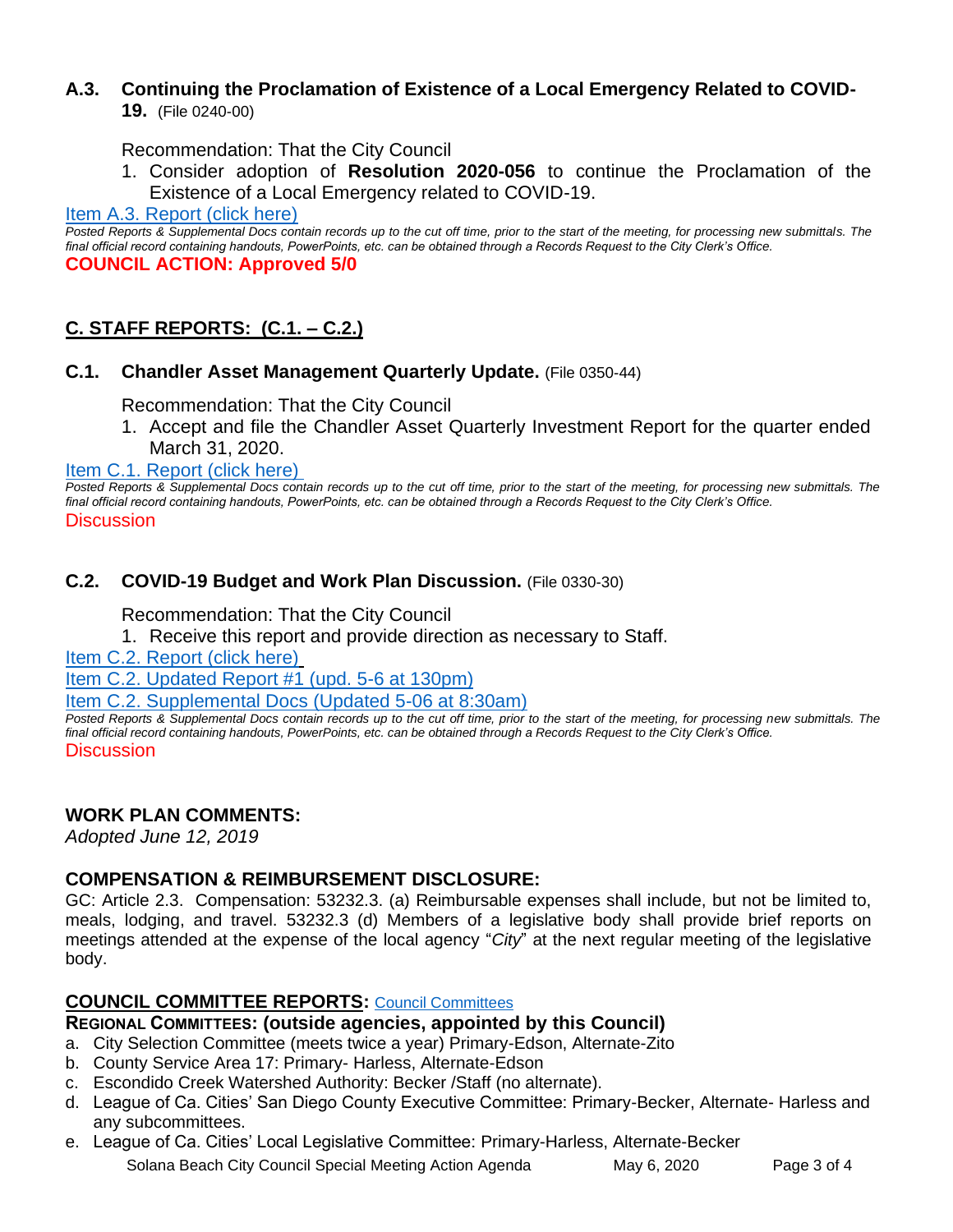## **A.3. Continuing the Proclamation of Existence of a Local Emergency Related to COVID-**

**19.** (File 0240-00)

Recommendation: That the City Council

1. Consider adoption of **Resolution 2020-056** to continue the Proclamation of the Existence of a Local Emergency related to COVID-19.

[Item A.3. Report \(click here\)](https://solanabeach.govoffice3.com/vertical/Sites/%7B840804C2-F869-4904-9AE3-720581350CE7%7D/uploads/Item_A.3._Report_(click_here)_05-06-20_-_O.pdf)

*Posted Reports & Supplemental Docs contain records up to the cut off time, prior to the start of the meeting, for processing new submittals. The final official record containing handouts, PowerPoints, etc. can be obtained through a Records Request to the City Clerk's Office.* **COUNCIL ACTION: Approved 5/0**

## **C. STAFF REPORTS: (C.1. – C.2.)**

#### **C.1. Chandler Asset Management Quarterly Update.** (File 0350-44)

Recommendation: That the City Council

1. Accept and file the Chandler Asset Quarterly Investment Report for the quarter ended March 31, 2020.

[Item C.1. Report \(click here\)](https://solanabeach.govoffice3.com/vertical/Sites/%7B840804C2-F869-4904-9AE3-720581350CE7%7D/uploads/Item_C.1._Report_(click_here)_05-06-20_-_O.pdf) 

*Posted Reports & Supplemental Docs contain records up to the cut off time, prior to the start of the meeting, for processing new submittals. The final official record containing handouts, PowerPoints, etc. can be obtained through a Records Request to the City Clerk's Office.* **Discussion** 

#### **C.2. COVID-19 Budget and Work Plan Discussion.** (File 0330-30)

Recommendation: That the City Council

1. Receive this report and provide direction as necessary to Staff.

[Item C.2. Report \(click here\)](https://solanabeach.govoffice3.com/vertical/Sites/%7B840804C2-F869-4904-9AE3-720581350CE7%7D/uploads/Item_C.2._Report_(click_here)_05-06-20.pdf)

[Item C.2. Updated Report #1 \(upd. 5-6 at 130pm\)](https://solanabeach.govoffice3.com/vertical/Sites/%7B840804C2-F869-4904-9AE3-720581350CE7%7D/uploads/Item_C.2._Updated_Report_1_(upd._5-6_at_130pm)_-_O.pdf)

[Item C.2. Supplemental Docs \(Updated 5-06 at 8:30am\)](https://solanabeach.govoffice3.com/vertical/Sites/%7B840804C2-F869-4904-9AE3-720581350CE7%7D/uploads/Item_C.2._Supplemental_Docs_(upd._5-6_at_830am)_-_O.pdf)

*Posted Reports & Supplemental Docs contain records up to the cut off time, prior to the start of the meeting, for processing new submittals. The final official record containing handouts, PowerPoints, etc. can be obtained through a Records Request to the City Clerk's Office.* **Discussion** 

## **WORK PLAN COMMENTS:**

*Adopted June 12, 2019*

## **COMPENSATION & REIMBURSEMENT DISCLOSURE:**

GC: Article 2.3. Compensation: 53232.3. (a) Reimbursable expenses shall include, but not be limited to, meals, lodging, and travel. 53232.3 (d) Members of a legislative body shall provide brief reports on meetings attended at the expense of the local agency "*City*" at the next regular meeting of the legislative body.

#### **COUNCIL COMMITTEE REPORTS:** [Council Committees](https://www.ci.solana-beach.ca.us/index.asp?SEC=584E1192-3850-46EA-B977-088AC3E81E0D&Type=B_BASIC)

#### **REGIONAL COMMITTEES: (outside agencies, appointed by this Council)**

- a. City Selection Committee (meets twice a year) Primary-Edson, Alternate-Zito
- b. County Service Area 17: Primary- Harless, Alternate-Edson
- c. Escondido Creek Watershed Authority: Becker /Staff (no alternate).
- d. League of Ca. Cities' San Diego County Executive Committee: Primary-Becker, Alternate- Harless and any subcommittees.
- Solana Beach City Council Special Meeting Action Agenda May 6, 2020 Page 3 of 4 e. League of Ca. Cities' Local Legislative Committee: Primary-Harless, Alternate-Becker